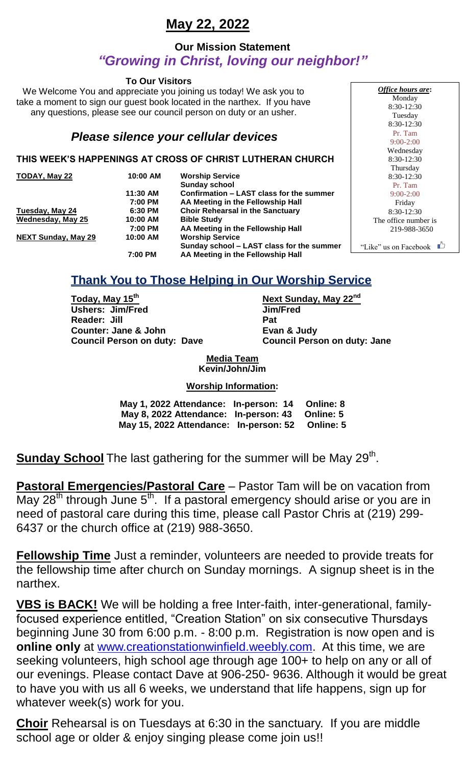# **May 22, 2022**

### **Our Mission Statement** *"Growing in Christ, loving our neighbor!"*

#### **To Our Visitors**

We Welcome You and appreciate you joining us today! We ask you to take a moment to sign our guest book located in the narthex. If you have any questions, please see our council person on duty or an usher.

### *Please silence your cellular devices*

#### **THIS WEEK'S HAPPENINGS AT CROSS OF CHRIST LUTHERAN CHURCH**

| TODAY, May 22              | 10:00 AM | <b>Worship Service</b>                    |
|----------------------------|----------|-------------------------------------------|
|                            |          | <b>Sunday school</b>                      |
|                            | 11:30 AM | Confirmation - LAST class for the summer  |
|                            | 7:00 PM  | AA Meeting in the Fellowship Hall         |
| Tuesday, May 24            | 6:30 PM  | <b>Choir Rehearsal in the Sanctuary</b>   |
| <b>Wednesday, May 25</b>   | 10:00 AM | <b>Bible Study</b>                        |
|                            | 7:00 PM  | AA Meeting in the Fellowship Hall         |
| <b>NEXT Sunday, May 29</b> | 10:00 AM | <b>Worship Service</b>                    |
|                            |          | Sunday school - LAST class for the summer |
|                            | 7:00 PM  | AA Meeting in the Fellowship Hall         |

*Office hours are***:** Monday 8:30-12:30 Tuesday 8:30-12:30 Pr. Tam 9:00-2:00 Wednesday 8:30-12:30 Thursday 8:30-12:30 Pr. Tam 9:00-2:00 Friday 8:30-12:30 The office number is 219-988-3650 "Like" us on Facebook  $\Box$ 

# **Thank You to Those Helping in Our Worship Service**

**Today, May 15th Next Sunday, May 22nd Ushers: Jim/Fred Jim/Fred Reader: Jill Pat Counter: Jane & John Evan & Judy Council Person on duty: Dave Council Person on duty: Jane**

**Media Team Kevin/John/Jim**

#### **Worship Information:**

| May 1, 2022 Attendance: In-person: 14 Online: 8  |  |
|--------------------------------------------------|--|
| May 8, 2022 Attendance: In-person: 43 Online: 5  |  |
| May 15, 2022 Attendance: In-person: 52 Online: 5 |  |

Sunday School The last gathering for the summer will be May 29<sup>th</sup>.

**Pastoral Emergencies/Pastoral Care** – Pastor Tam will be on vacation from May 28<sup>th</sup> through June 5<sup>th</sup>. If a pastoral emergency should arise or you are in need of pastoral care during this time, please call Pastor Chris at (219) 299- 6437 or the church office at (219) 988-3650.

**Fellowship Time** Just a reminder, volunteers are needed to provide treats for the fellowship time after church on Sunday mornings. A signup sheet is in the narthex.

**VBS is BACK!** We will be holding a free Inter-faith, inter-generational, familyfocused experience entitled, "Creation Station" on six consecutive Thursdays beginning June 30 from 6:00 p.m. - 8:00 p.m. Registration is now open and is **online only** at [www.creationstationwinfield.weebly.com.](http://www.creationstationwinfield.weebly.com/) At this time, we are seeking volunteers, high school age through age 100+ to help on any or all of our evenings. Please contact Dave at 906-250- 9636. Although it would be great to have you with us all 6 weeks, we understand that life happens, sign up for whatever week(s) work for you.

**Choir** Rehearsal is on Tuesdays at 6:30 in the sanctuary. If you are middle school age or older & enjoy singing please come join us!!